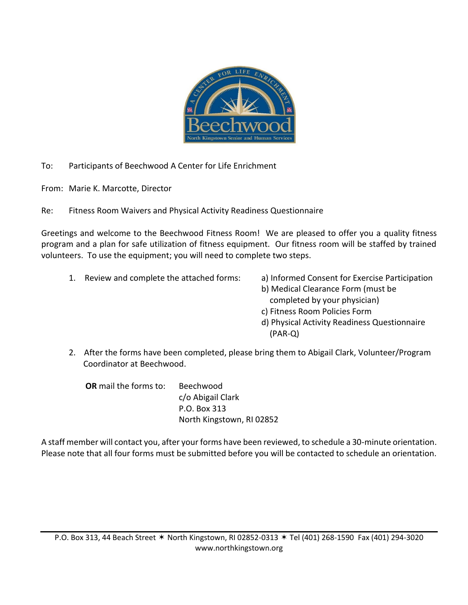

To: Participants of Beechwood A Center for Life Enrichment

From: Marie K. Marcotte, Director

Re: Fitness Room Waivers and Physical Activity Readiness Questionnaire

Greetings and welcome to the Beechwood Fitness Room! We are pleased to offer you a quality fitness program and a plan for safe utilization of fitness equipment. Our fitness room will be staffed by trained volunteers. To use the equipment; you will need to complete two steps.

- 1. Review and complete the attached forms: a) Informed Consent for Exercise Participation
- b) Medical Clearance Form (must be
	- completed by your physician)
	- c) Fitness Room Policies Form
	- d) Physical Activity Readiness Questionnaire (PAR-Q)
- 2. After the forms have been completed, please bring them to Abigail Clark, Volunteer/Program Coordinator at Beechwood.

**OR** mail the forms to: Beechwood c/o Abigail Clark P.O. Box 313 North Kingstown, RI 02852

A staff member will contact you, after your forms have been reviewed, to schedule a 30-minute orientation. Please note that all four forms must be submitted before you will be contacted to schedule an orientation.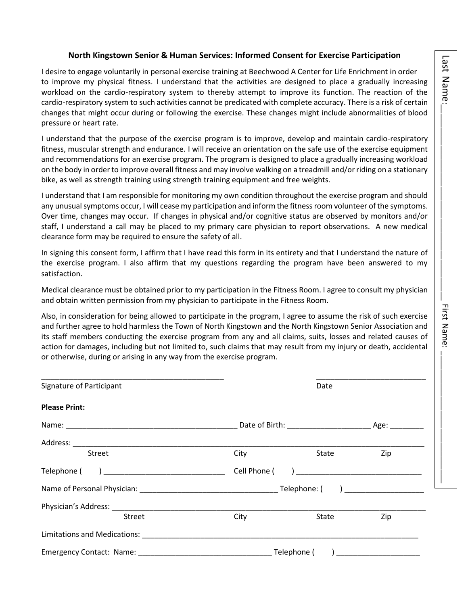# Last Name

#### **North Kingstown Senior & Human Services: Informed Consent for Exercise Participation**

I desire to engage voluntarily in personal exercise training at Beechwood A Center for Life Enrichment in order to improve my physical fitness. I understand that the activities are designed to place a gradually increasing workload on the cardio-respiratory system to thereby attempt to improve its function. The reaction of the cardio-respiratory system to such activities cannot be predicated with complete accuracy. There is a risk of certain changes that might occur during or following the exercise. These changes might include abnormalities of blood pressure or heart rate.

I understand that the purpose of the exercise program is to improve, develop and maintain cardio-respiratory fitness, muscular strength and endurance. I will receive an orientation on the safe use of the exercise equipment and recommendations for an exercise program. The program is designed to place a gradually increasing workload on the body in order to improve overall fitness and may involve walking on a treadmill and/or riding on a stationary bike, as well as strength training using strength training equipment and free weights.

I understand that I am responsible for monitoring my own condition throughout the exercise program and should any unusual symptoms occur, I will cease my participation and inform the fitness room volunteer of the symptoms. Over time, changes may occur. If changes in physical and/or cognitive status are observed by monitors and/or staff, I understand a call may be placed to my primary care physician to report observations. A new medical clearance form may be required to ensure the safety of all.

In signing this consent form, I affirm that I have read this form in its entirety and that I understand the nature of the exercise program. I also affirm that my questions regarding the program have been answered to my satisfaction.

Medical clearance must be obtained prior to my participation in the Fitness Room. I agree to consult my physician and obtain written permission from my physician to participate in the Fitness Room.

Also, in consideration for being allowed to participate in the program, I agree to assume the risk of such exercise and further agree to hold harmless the Town of North Kingstown and the North Kingstown Senior Association and its staff members conducting the exercise program from any and all claims, suits, losses and related causes of action for damages, including but not limited to, such claims that may result from my injury or death, accidental or otherwise, during or arising in any way from the exercise program.

| Signature of Participant                       | Date                                                                                                                                                                                                                           |       |                                   |  |
|------------------------------------------------|--------------------------------------------------------------------------------------------------------------------------------------------------------------------------------------------------------------------------------|-------|-----------------------------------|--|
| <b>Please Print:</b>                           |                                                                                                                                                                                                                                |       |                                   |  |
|                                                |                                                                                                                                                                                                                                |       |                                   |  |
|                                                |                                                                                                                                                                                                                                |       |                                   |  |
| Street                                         | City                                                                                                                                                                                                                           | State | Zip                               |  |
| Telephone ( ) ________________________________ | Cell Phone (                                                                                                                                                                                                                   |       | ) <u>________________________</u> |  |
|                                                | Name of Personal Physician: example and the control of the control of the control of the control of the control of the control of the control of the control of the control of the control of the control of the control of th |       |                                   |  |
|                                                |                                                                                                                                                                                                                                |       |                                   |  |
| <b>Street</b>                                  | City                                                                                                                                                                                                                           | State | Zip                               |  |
| Limitations and Medications: National Assembly |                                                                                                                                                                                                                                |       |                                   |  |
|                                                | Telephone (                                                                                                                                                                                                                    |       |                                   |  |

Last Name:\_\_\_\_\_\_\_\_\_\_\_\_\_\_\_\_\_\_\_\_\_\_\_\_\_\_\_\_\_\_\_\_\_\_\_\_\_\_\_\_\_\_\_ First Name: \_\_\_\_\_\_\_\_\_\_\_\_\_\_\_\_\_\_\_\_\_\_\_\_\_\_\_\_\_ \_\_\_\_\_\_\_\_\_\_\_\_\_\_\_\_\_\_\_\_\_\_\_\_\_\_\_\_\_\_\_\_\_\_\_\_\_\_\_\_\_\_\_\_\_\_\_\_\_\_\_\_\_\_\_\_\_\_\_\_\_\_\_\_\_\_\_\_\_\_\_\_\_\_\_\_\_\_\_\_First Name: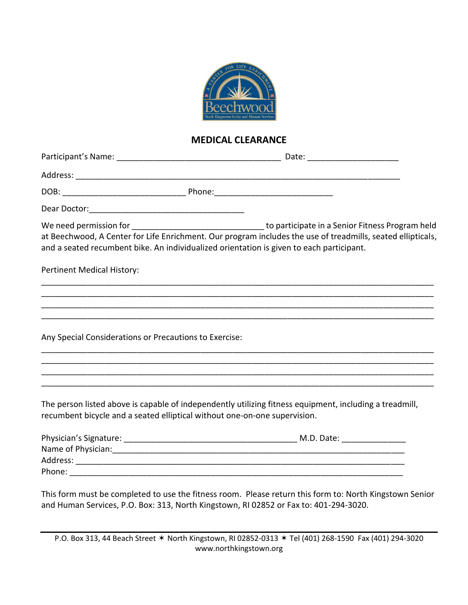

#### **MEDICAL CLEARANCE**

|                                                                           | at Beechwood, A Center for Life Enrichment. Our program includes the use of treadmills, seated ellipticals,<br>and a seated recumbent bike. An individualized orientation is given to each participant. |
|---------------------------------------------------------------------------|---------------------------------------------------------------------------------------------------------------------------------------------------------------------------------------------------------|
| <b>Pertinent Medical History:</b>                                         |                                                                                                                                                                                                         |
|                                                                           |                                                                                                                                                                                                         |
|                                                                           |                                                                                                                                                                                                         |
| Any Special Considerations or Precautions to Exercise:                    |                                                                                                                                                                                                         |
|                                                                           |                                                                                                                                                                                                         |
|                                                                           |                                                                                                                                                                                                         |
| recumbent bicycle and a seated elliptical without one-on-one supervision. | The person listed above is capable of independently utilizing fitness equipment, including a treadmill,                                                                                                 |
|                                                                           |                                                                                                                                                                                                         |
|                                                                           |                                                                                                                                                                                                         |
|                                                                           |                                                                                                                                                                                                         |
|                                                                           |                                                                                                                                                                                                         |

This form must be completed to use the fitness room. Please return this form to: North Kingstown Senior and Human Services, P.O. Box: 313, North Kingstown, RI 02852 or Fax to: 401-294-3020.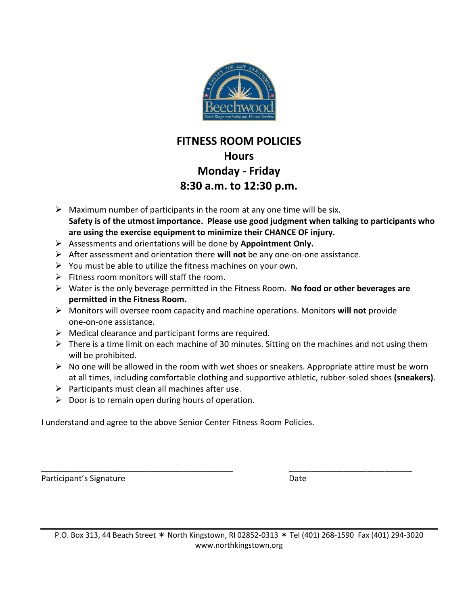

## **FITNESS ROOM POLICIES Hours Monday - Friday 8:30 a.m. to 12:30 p.m.**

- $\triangleright$  Maximum number of participants in the room at any one time will be six. **Safety is of the utmost importance. Please use good judgment when talking to participants who are using the exercise equipment to minimize their CHANCE OF injury.**
- ➢ Assessments and orientations will be done by **Appointment Only.**
- ➢ After assessment and orientation there **will not** be any one-on-one assistance.
- $\triangleright$  You must be able to utilize the fitness machines on your own.
- $\triangleright$  Fitness room monitors will staff the room.
- ➢ Water is the only beverage permitted in the Fitness Room. **No food or other beverages are permitted in the Fitness Room.**
- ➢ Monitors will oversee room capacity and machine operations. Monitors **will not** provide one-on-one assistance.
- $\triangleright$  Medical clearance and participant forms are required.
- $\triangleright$  There is a time limit on each machine of 30 minutes. Sitting on the machines and not using them will be prohibited.
- $\triangleright$  No one will be allowed in the room with wet shoes or sneakers. Appropriate attire must be worn at all times, including comfortable clothing and supportive athletic, rubber-soled shoes **(sneakers)**.
- $\triangleright$  Participants must clean all machines after use.
- $\triangleright$  Door is to remain open during hours of operation.

I understand and agree to the above Senior Center Fitness Room Policies.

Participant's Signature Date Date

\_\_\_\_\_\_\_\_\_\_\_\_\_\_\_\_\_\_\_\_\_\_\_\_\_\_\_\_\_\_\_\_\_\_\_\_\_\_\_\_\_\_ \_\_\_\_\_\_\_\_\_\_\_\_\_\_\_\_\_\_\_\_\_\_\_\_\_\_\_